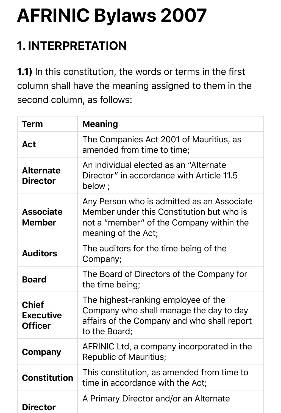# **AFRINIC Bylaws 2007**

# **1. INTERPRETATION**

1.1) In this constitution, the words or terms in the first column shall have the meaning assigned to them in the second column, as follows:

| <b>Term</b>                                        | <b>Meaning</b>                                                                                                                                             |
|----------------------------------------------------|------------------------------------------------------------------------------------------------------------------------------------------------------------|
| <b>Act</b>                                         | The Companies Act 2001 of Mauritius, as<br>amended from time to time;                                                                                      |
| <b>Alternate</b><br><b>Director</b>                | An individual elected as an "Alternate"<br>Director" in accordance with Article 11.5<br>below;                                                             |
| <b>Associate</b><br><b>Member</b>                  | Any Person who is admitted as an Associate<br>Member under this Constitution but who is<br>not a "member" of the Company within the<br>meaning of the Act; |
| <b>Auditors</b>                                    | The auditors for the time being of the<br>Company;                                                                                                         |
| <b>Board</b>                                       | The Board of Directors of the Company for<br>the time being;                                                                                               |
| <b>Chief</b><br><b>Executive</b><br><b>Officer</b> | The highest-ranking employee of the<br>Company who shall manage the day to day<br>affairs of the Company and who shall report<br>to the Board;             |
| Company                                            | AFRINIC Ltd, a company incorporated in the<br><b>Republic of Mauritius;</b>                                                                                |
| <b>Constitution</b>                                | This constitution, as amended from time to<br>time in accordance with the Act;                                                                             |
| <b>Director</b>                                    | A Primary Director and/or an Alternate                                                                                                                     |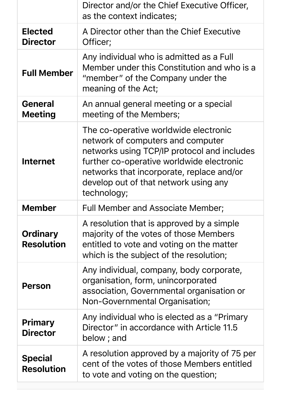|                                      | Director and/or the Chief Executive Officer,<br>as the context indicates;                                                                                                                                                                                                   |
|--------------------------------------|-----------------------------------------------------------------------------------------------------------------------------------------------------------------------------------------------------------------------------------------------------------------------------|
| <b>Elected</b><br><b>Director</b>    | A Director other than the Chief Executive<br>Officer;                                                                                                                                                                                                                       |
| <b>Full Member</b>                   | Any individual who is admitted as a Full<br>Member under this Constitution and who is a<br>"member" of the Company under the<br>meaning of the Act;                                                                                                                         |
| <b>General</b><br><b>Meeting</b>     | An annual general meeting or a special<br>meeting of the Members;                                                                                                                                                                                                           |
| <b>Internet</b>                      | The co-operative worldwide electronic<br>network of computers and computer<br>networks using TCP/IP protocol and includes<br>further co-operative worldwide electronic<br>networks that incorporate, replace and/or<br>develop out of that network using any<br>technology; |
| <b>Member</b>                        | Full Member and Associate Member;                                                                                                                                                                                                                                           |
| <b>Ordinary</b><br><b>Resolution</b> | A resolution that is approved by a simple<br>majority of the votes of those Members<br>entitled to vote and voting on the matter<br>which is the subject of the resolution;                                                                                                 |
| <b>Person</b>                        | Any individual, company, body corporate,<br>organisation, form, unincorporated<br>association, Governmental organisation or<br>Non-Governmental Organisation;                                                                                                               |
| <b>Primary</b><br><b>Director</b>    | Any individual who is elected as a "Primary"<br>Director" in accordance with Article 11.5<br>below; and                                                                                                                                                                     |
| <b>Special</b><br><b>Resolution</b>  | A resolution approved by a majority of 75 per<br>cent of the votes of those Members entitled<br>to vote and voting on the question;                                                                                                                                         |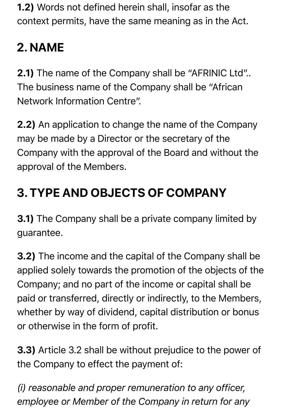1.2) Words not defined herein shall, insofar as the context permits, have the same meaning as in the Act.

# **2. NAME**

2.1) The name of the Company shall be "AFRINIC Ltd".. The business name of the Company shall be "African Network Information Centre".

2.2) An application to change the name of the Company may be made by a Director or the secretary of the Company with the approval of the Board and without the approval of the Members.

# **3. TYPE AND OBJECTS OF COMPANY**

3.1) The Company shall be a private company limited by guarantee.

3.2) The income and the capital of the Company shall be applied solely towards the promotion of the objects of the Company; and no part of the income or capital shall be paid or transferred, directly or indirectly, to the Members, whether by way of dividend, capital distribution or bonus or otherwise in the form of profit.

3.3) Article 3.2 shall be without prejudice to the power of the Company to effect the payment of:

*(i) reasonable and proper remuneration to any officer, employee or Member of the Company in return for any*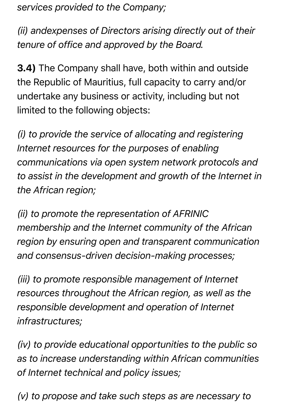*services provided to the Company;*

*(ii) andexpenses of Directors arising directly out of their tenure of office and approved by the Board.*

3.4) The Company shall have, both within and outside the Republic of Mauritius, full capacity to carry and/or undertake any business or activity, including but not limited to the following objects:

*(i) to provide the service of allocating and registering Internet resources for the purposes of enabling communications via open system network protocols and to assist in the development and growth of the Internet in the African region;*

*(ii) to promote the representation of AFRINIC membership and the Internet community of the African region by ensuring open and transparent communication and consensus-driven decision-making processes;*

*(iii) to promote responsible management of Internet resources throughout the African region, as well as the responsible development and operation of Internet infrastructures;*

*(iv) to provide educational opportunities to the public so as to increase understanding within African communities of Internet technical and policy issues;*

*(v) to propose and take such steps as are necessary to*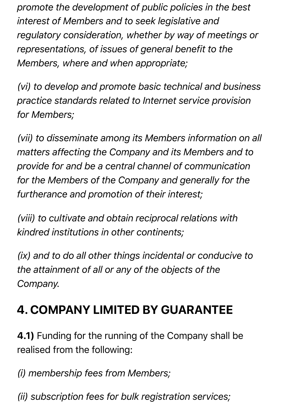*promote the development of public policies in the best interest of Members and to seek legislative and regulatory consideration, whether by way of meetings or representations, of issues of general benefit to the Members, where and when appropriate;*

*(vi) to develop and promote basic technical and business practice standards related to Internet service provision for Members;*

*(vii) to disseminate among its Members information on all matters affecting the Company and its Members and to provide for and be a central channel of communication for the Members of the Company and generally for the furtherance and promotion of their interest;*

*(viii) to cultivate and obtain reciprocal relations with kindred institutions in other continents;*

*(ix) and to do all other things incidental or conducive to the attainment of all or any of the objects of the Company.*

# **4. COMPANY LIMITED BY GUARANTEE**

4.1) Funding for the running of the Company shall be realised from the following:

*(i) membership fees from Members;*

*(ii) subscription fees for bulk registration services;*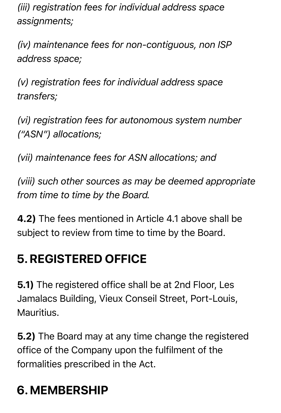*(iii) registration fees for individual address space assignments;*

*(iv) maintenance fees for non-contiguous, non ISP address space;*

*(v) registration fees for individual address space transfers;*

*(vi) registration fees for autonomous system number ("ASN") allocations;*

*(vii) maintenance fees for ASN allocations; and*

*(viii) such other sources as may be deemed appropriate from time to time by the Board.*

4.2) The fees mentioned in Article 4.1 above shall be subject to review from time to time by the Board.

### **5. REGISTERED OFFICE**

5.1) The registered office shall be at 2nd Floor, Les Jamalacs Building, Vieux Conseil Street, Port-Louis, Mauritius.

5.2) The Board may at any time change the registered office of the Company upon the fulfilment of the formalities prescribed in the Act.

# **6. MEMBERSHIP**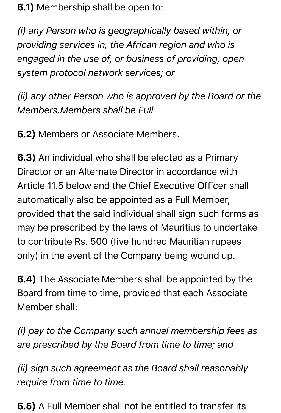6.1) Membership shall be open to:

*(i) any Person who is geographically based within, or providing services in, the African region and who is engaged in the use of, or business of providing, open system protocol network services; or*

*(ii) any other Person who is approved by the Board or the Members.Members shall be Full*

6.2) Members or Associate Members.

6.3) An individual who shall be elected as a Primary Director or an Alternate Director in accordance with Article 11.5 below and the Chief Executive Officer shall automatically also be appointed as a Full Member, provided that the said individual shall sign such forms as may be prescribed by the laws of Mauritius to undertake to contribute Rs. 500 (five hundred Mauritian rupees only) in the event of the Company being wound up.

6.4) The Associate Members shall be appointed by the Board from time to time, provided that each Associate Member shall:

*(i) pay to the Company such annual membership fees as are prescribed by the Board from time to time; and*

*(ii) sign such agreement as the Board shall reasonably require from time to time.*

6.5) A Full Member shall not be entitled to transfer its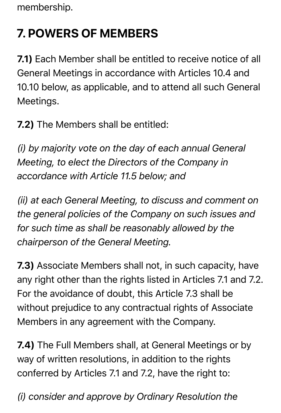membership.

# **7. POWERS OF MEMBERS**

7.1) Each Member shall be entitled to receive notice of all General Meetings in accordance with Articles 10.4 and 10.10 below, as applicable, and to attend all such General Meetings.

7.2) The Members shall be entitled:

*(i) by majority vote on the day of each annual General Meeting, to elect the Directors of the Company in accordance with Article 11.5 below; and*

*(ii) at each General Meeting, to discuss and comment on the general policies of the Company on such issues and for such time as shall be reasonably allowed by the chairperson of the General Meeting.*

7.3) Associate Members shall not, in such capacity, have any right other than the rights listed in Articles 7.1 and 7.2. For the avoidance of doubt, this Article 7.3 shall be without prejudice to any contractual rights of Associate Members in any agreement with the Company.

7.4) The Full Members shall, at General Meetings or by way of written resolutions, in addition to the rights conferred by Articles 7.1 and 7.2, have the right to:

*(i) consider and approve by Ordinary Resolution the*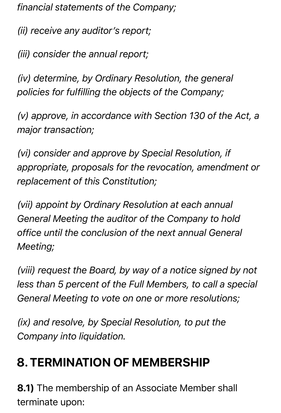*financial statements of the Company;*

*(ii) receive any auditor's report;*

*(iii) consider the annual report;*

*(iv) determine, by Ordinary Resolution, the general policies for fulfilling the objects of the Company;*

*(v) approve, in accordance with Section 130 of the Act, a major transaction;*

*(vi) consider and approve by Special Resolution, if appropriate, proposals for the revocation, amendment or replacement of this Constitution;*

*(vii) appoint by Ordinary Resolution at each annual General Meeting the auditor of the Company to hold office until the conclusion of the next annual General Meeting;*

*(viii) request the Board, by way of a notice signed by not less than 5 percent of the Full Members, to call a special General Meeting to vote on one or more resolutions;*

*(ix) and resolve, by Special Resolution, to put the Company into liquidation.*

### **8. TERMINATION OF MEMBERSHIP**

8.1) The membership of an Associate Member shall terminate upon: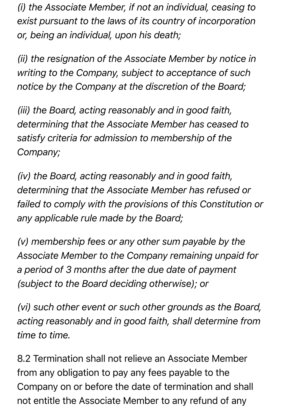*(i) the Associate Member, if not an individual, ceasing to exist pursuant to the laws of its country of incorporation or, being an individual, upon his death;*

*(ii) the resignation of the Associate Member by notice in writing to the Company, subject to acceptance of such notice by the Company at the discretion of the Board;*

*(iii) the Board, acting reasonably and in good faith, determining that the Associate Member has ceased to satisfy criteria for admission to membership of the Company;*

*(iv) the Board, acting reasonably and in good faith, determining that the Associate Member has refused or failed to comply with the provisions of this Constitution or any applicable rule made by the Board;*

*(v) membership fees or any other sum payable by the Associate Member to the Company remaining unpaid for a period of 3 months after the due date of payment (subject to the Board deciding otherwise); or*

*(vi) such other event or such other grounds as the Board, acting reasonably and in good faith, shall determine from time to time.*

8.2 Termination shall not relieve an Associate Member from any obligation to pay any fees payable to the Company on or before the date of termination and shall not entitle the Associate Member to any refund of any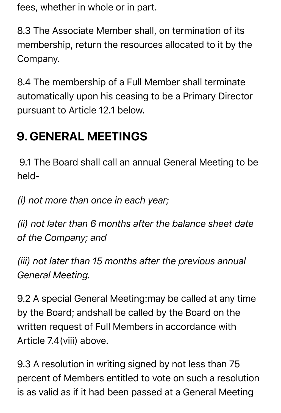fees, whether in whole or in part.

8.3 The Associate Member shall, on termination of its membership, return the resources allocated to it by the Company.

8.4 The membership of a Full Member shall terminate automatically upon his ceasing to be a Primary Director pursuant to Article 12.1 below.

### **9. GENERAL MEETINGS**

9.1 The Board shall call an annual General Meeting to be held-

*(i) not more than once in each year;*

*(ii) not later than 6 months after the balance sheet date of the Company; and*

*(iii) not later than 15 months after the previous annual General Meeting.*

9.2 A special General Meeting:may be called at any time by the Board; andshall be called by the Board on the written request of Full Members in accordance with Article 7.4(viii) above.

9.3 A resolution in writing signed by not less than 75 percent of Members entitled to vote on such a resolution is as valid as if it had been passed at a General Meeting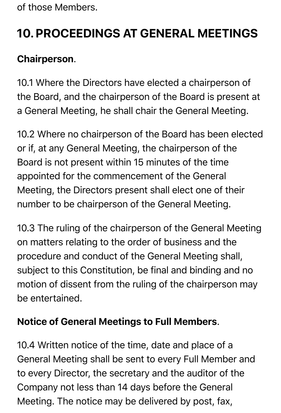of those Members.

# **10. PROCEEDINGS AT GENERAL MEETINGS**

#### Chairperson.

10.1 Where the Directors have elected a chairperson of the Board, and the chairperson of the Board is present at a General Meeting, he shall chair the General Meeting.

10.2 Where no chairperson of the Board has been elected or if, at any General Meeting, the chairperson of the Board is not present within 15 minutes of the time appointed for the commencement of the General Meeting, the Directors present shall elect one of their number to be chairperson of the General Meeting.

10.3 The ruling of the chairperson of the General Meeting on matters relating to the order of business and the procedure and conduct of the General Meeting shall, subject to this Constitution, be final and binding and no motion of dissent from the ruling of the chairperson may be entertained.

#### Notice of General Meetings to Full Members.

10.4 Written notice of the time, date and place of a General Meeting shall be sent to every Full Member and to every Director, the secretary and the auditor of the Company not less than 14 days before the General Meeting. The notice may be delivered by post, fax,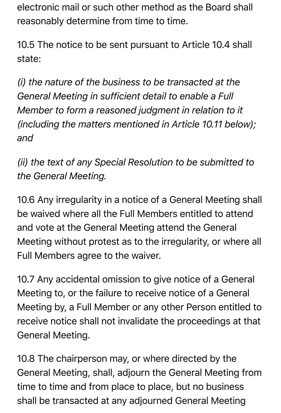electronic mail or such other method as the Board shall reasonably determine from time to time.

10.5 The notice to be sent pursuant to Article 10.4 shall state:

*(i) the nature of the business to be transacted at the General Meeting in sufficient detail to enable a Full Member to form a reasoned judgment in relation to it (including the matters mentioned in Article 10.11 below); and*

*(ii) the text of any Special Resolution to be submitted to the General Meeting.*

10.6 Any irregularity in a notice of a General Meeting shall be waived where all the Full Members entitled to attend and vote at the General Meeting attend the General Meeting without protest as to the irregularity, or where all Full Members agree to the waiver.

10.7 Any accidental omission to give notice of a General Meeting to, or the failure to receive notice of a General Meeting by, a Full Member or any other Person entitled to receive notice shall not invalidate the proceedings at that General Meeting.

10.8 The chairperson may, or where directed by the General Meeting, shall, adjourn the General Meeting from time to time and from place to place, but no business shall be transacted at any adjourned General Meeting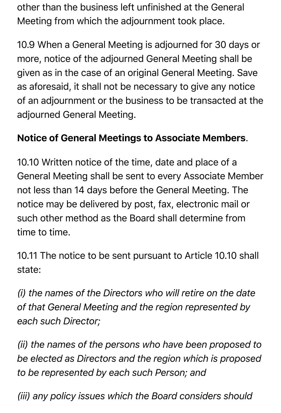other than the business left unfinished at the General Meeting from which the adjournment took place.

10.9 When a General Meeting is adjourned for 30 days or more, notice of the adjourned General Meeting shall be given as in the case of an original General Meeting. Save as aforesaid, it shall not be necessary to give any notice of an adjournment or the business to be transacted at the adjourned General Meeting.

#### Notice of General Meetings to Associate Members.

10.10 Written notice of the time, date and place of a General Meeting shall be sent to every Associate Member not less than 14 days before the General Meeting. The notice may be delivered by post, fax, electronic mail or such other method as the Board shall determine from time to time.

10.11 The notice to be sent pursuant to Article 10.10 shall state:

*(i) the names of the Directors who will retire on the date of that General Meeting and the region represented by each such Director;*

*(ii) the names of the persons who have been proposed to be elected as Directors and the region which is proposed to be represented by each such Person; and*

*(iii) any policy issues which the Board considers should*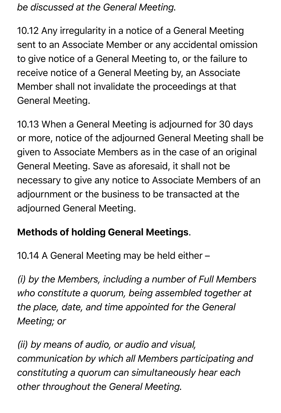*be discussed at the General Meeting.*

10.12 Any irregularity in a notice of a General Meeting sent to an Associate Member or any accidental omission to give notice of a General Meeting to, or the failure to receive notice of a General Meeting by, an Associate Member shall not invalidate the proceedings at that General Meeting.

10.13 When a General Meeting is adjourned for 30 days or more, notice of the adjourned General Meeting shall be given to Associate Members as in the case of an original General Meeting. Save as aforesaid, it shall not be necessary to give any notice to Associate Members of an adjournment or the business to be transacted at the adjourned General Meeting.

#### Methods of holding General Meetings.

10.14 A General Meeting may be held either –

*(i) by the Members, including a number of Full Members who constitute a quorum, being assembled together at the place, date, and time appointed for the General Meeting; or*

*(ii) by means of audio, or audio and visual, communication by which all Members participating and constituting a quorum can simultaneously hear each other throughout the General Meeting.*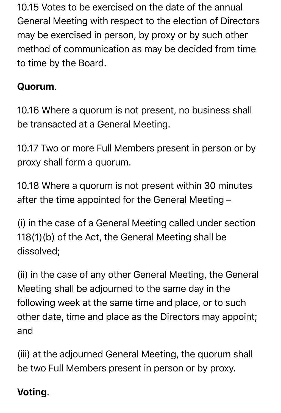10.15 Votes to be exercised on the date of the annual General Meeting with respect to the election of Directors may be exercised in person, by proxy or by such other method of communication as may be decided from time to time by the Board.

#### Quorum.

10.16 Where a quorum is not present, no business shall be transacted at a General Meeting.

10.17 Two or more Full Members present in person or by proxy shall form a quorum.

10.18 Where a quorum is not present within 30 minutes after the time appointed for the General Meeting –

(i) in the case of a General Meeting called under section 118(1)(b) of the Act, the General Meeting shall be dissolved;

(ii) in the case of any other General Meeting, the General Meeting shall be adjourned to the same day in the following week at the same time and place, or to such other date, time and place as the Directors may appoint; and

(iii) at the adjourned General Meeting, the quorum shall be two Full Members present in person or by proxy.

#### Voting.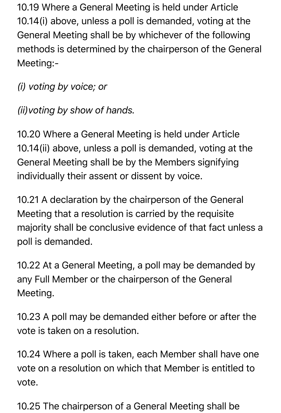10.19 Where a General Meeting is held under Article 10.14(i) above, unless a poll is demanded, voting at the General Meeting shall be by whichever of the following methods is determined by the chairperson of the General Meeting:-

*(i) voting by voice; or*

*(ii)voting by show of hands.*

10.20 Where a General Meeting is held under Article 10.14(ii) above, unless a poll is demanded, voting at the General Meeting shall be by the Members signifying individually their assent or dissent by voice.

10.21 A declaration by the chairperson of the General Meeting that a resolution is carried by the requisite majority shall be conclusive evidence of that fact unless a poll is demanded.

10.22 At a General Meeting, a poll may be demanded by any Full Member or the chairperson of the General Meeting.

10.23 A poll may be demanded either before or after the vote is taken on a resolution.

10.24 Where a poll is taken, each Member shall have one vote on a resolution on which that Member is entitled to vote.

10.25 The chairperson of a General Meeting shall be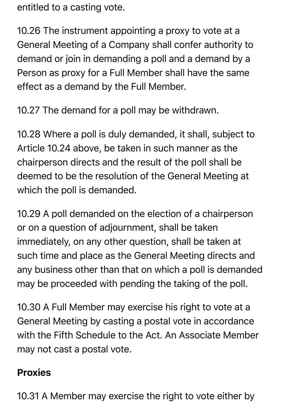entitled to a casting vote.

10.26 The instrument appointing a proxy to vote at a General Meeting of a Company shall confer authority to demand or join in demanding a poll and a demand by a Person as proxy for a Full Member shall have the same effect as a demand by the Full Member.

10.27 The demand for a poll may be withdrawn.

10.28 Where a poll is duly demanded, it shall, subject to Article 10.24 above, be taken in such manner as the chairperson directs and the result of the poll shall be deemed to be the resolution of the General Meeting at which the poll is demanded.

10.29 A poll demanded on the election of a chairperson or on a question of adjournment, shall be taken immediately, on any other question, shall be taken at such time and place as the General Meeting directs and any business other than that on which a poll is demanded may be proceeded with pending the taking of the poll.

10.30 A Full Member may exercise his right to vote at a General Meeting by casting a postal vote in accordance with the Fifth Schedule to the Act. An Associate Member may not cast a postal vote.

#### Proxies

10.31 A Member may exercise the right to vote either by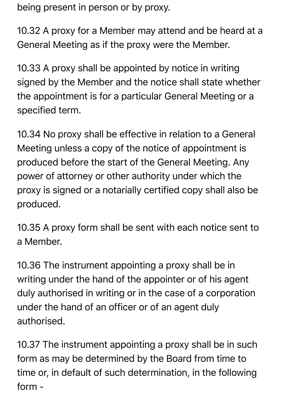being present in person or by proxy.

10.32 A proxy for a Member may attend and be heard at a General Meeting as if the proxy were the Member.

10.33 A proxy shall be appointed by notice in writing signed by the Member and the notice shall state whether the appointment is for a particular General Meeting or a specified term.

10.34 No proxy shall be effective in relation to a General Meeting unless a copy of the notice of appointment is produced before the start of the General Meeting. Any power of attorney or other authority under which the proxy is signed or a notarially certified copy shall also be produced.

10.35 A proxy form shall be sent with each notice sent to a Member.

10.36 The instrument appointing a proxy shall be in writing under the hand of the appointer or of his agent duly authorised in writing or in the case of a corporation under the hand of an officer or of an agent duly authorised.

10.37 The instrument appointing a proxy shall be in such form as may be determined by the Board from time to time or, in default of such determination, in the following form -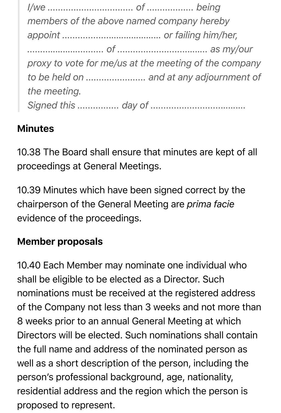*I/we ................................. of .................. being members of the above named company hereby appoint ..................………………… or failing him/her, ........………….......... of ...........................…….. as my/our proxy to vote for me/us at the meeting of the company to be held on ....................... and at any adjournment of the meeting. Signed this ................ day of ...........................……….*

#### Minutes

10.38 The Board shall ensure that minutes are kept of all proceedings at General Meetings.

10.39 Minutes which have been signed correct by the chairperson of the General Meeting are *prima facie* evidence of the proceedings.

#### Member proposals

10.40 Each Member may nominate one individual who shall be eligible to be elected as a Director. Such nominations must be received at the registered address of the Company not less than 3 weeks and not more than 8 weeks prior to an annual General Meeting at which Directors will be elected. Such nominations shall contain the full name and address of the nominated person as well as a short description of the person, including the person's professional background, age, nationality, residential address and the region which the person is proposed to represent.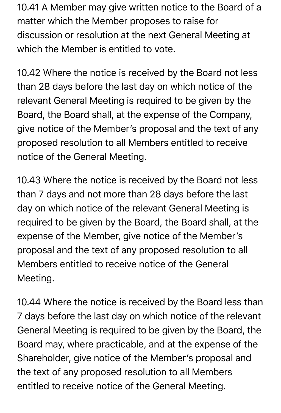10.41 A Member may give written notice to the Board of a matter which the Member proposes to raise for discussion or resolution at the next General Meeting at which the Member is entitled to vote.

10.42 Where the notice is received by the Board not less than 28 days before the last day on which notice of the relevant General Meeting is required to be given by the Board, the Board shall, at the expense of the Company, give notice of the Member's proposal and the text of any proposed resolution to all Members entitled to receive notice of the General Meeting.

10.43 Where the notice is received by the Board not less than 7 days and not more than 28 days before the last day on which notice of the relevant General Meeting is required to be given by the Board, the Board shall, at the expense of the Member, give notice of the Member's proposal and the text of any proposed resolution to all Members entitled to receive notice of the General Meeting.

10.44 Where the notice is received by the Board less than 7 days before the last day on which notice of the relevant General Meeting is required to be given by the Board, the Board may, where practicable, and at the expense of the Shareholder, give notice of the Member's proposal and the text of any proposed resolution to all Members entitled to receive notice of the General Meeting.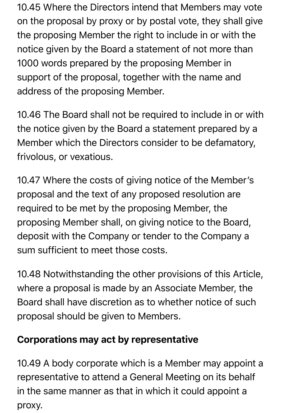10.45 Where the Directors intend that Members may vote on the proposal by proxy or by postal vote, they shall give the proposing Member the right to include in or with the notice given by the Board a statement of not more than 1000 words prepared by the proposing Member in support of the proposal, together with the name and address of the proposing Member.

10.46 The Board shall not be required to include in or with the notice given by the Board a statement prepared by a Member which the Directors consider to be defamatory, frivolous, or vexatious.

10.47 Where the costs of giving notice of the Member's proposal and the text of any proposed resolution are required to be met by the proposing Member, the proposing Member shall, on giving notice to the Board, deposit with the Company or tender to the Company a sum sufficient to meet those costs.

10.48 Notwithstanding the other provisions of this Article, where a proposal is made by an Associate Member, the Board shall have discretion as to whether notice of such proposal should be given to Members.

#### Corporations may act by representative

10.49 A body corporate which is a Member may appoint a representative to attend a General Meeting on its behalf in the same manner as that in which it could appoint a proxy.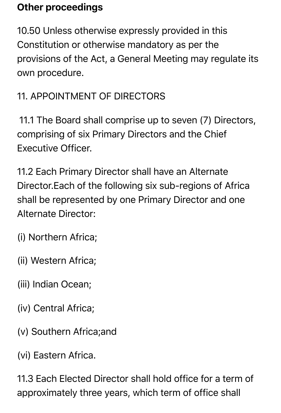#### Other proceedings

10.50 Unless otherwise expressly provided in this Constitution or otherwise mandatory as per the provisions of the Act, a General Meeting may regulate its own procedure.

#### 11. APPOINTMENT OF DIRECTORS

11.1 The Board shall comprise up to seven (7) Directors, comprising of six Primary Directors and the Chief Executive Officer.

11.2 Each Primary Director shall have an Alternate Director.Each of the following six sub-regions of Africa shall be represented by one Primary Director and one Alternate Director:

- (i) Northern Africa;
- (ii) Western Africa;
- (iii) Indian Ocean;
- (iv) Central Africa;
- (v) Southern Africa;and
- (vi) Eastern Africa.

11.3 Each Elected Director shall hold office for a term of approximately three years, which term of office shall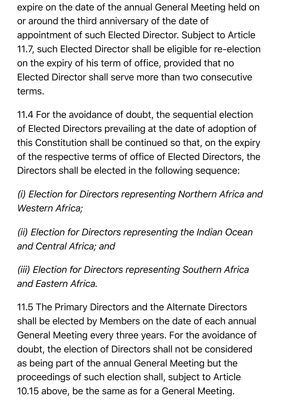expire on the date of the annual General Meeting held on or around the third anniversary of the date of appointment of such Elected Director. Subject to Article 11.7, such Elected Director shall be eligible for re-election on the expiry of his term of office, provided that no Elected Director shall serve more than two consecutive terms.

11.4 For the avoidance of doubt, the sequential election of Elected Directors prevailing at the date of adoption of this Constitution shall be continued so that, on the expiry of the respective terms of office of Elected Directors, the Directors shall be elected in the following sequence:

*(i) Election for Directors representing Northern Africa and Western Africa;*

*(ii) Election for Directors representing the Indian Ocean and Central Africa; and*

*(iii) Election for Directors representing Southern Africa and Eastern Africa.*

11.5 The Primary Directors and the Alternate Directors shall be elected by Members on the date of each annual General Meeting every three years. For the avoidance of doubt, the election of Directors shall not be considered as being part of the annual General Meeting but the proceedings of such election shall, subject to Article 10.15 above, be the same as for a General Meeting.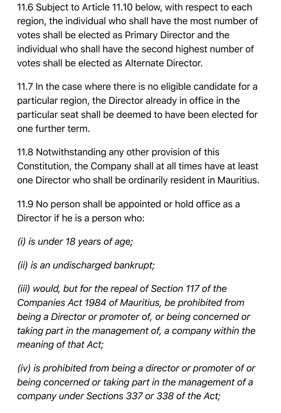11.6 Subject to Article 11.10 below, with respect to each region, the individual who shall have the most number of votes shall be elected as Primary Director and the individual who shall have the second highest number of votes shall be elected as Alternate Director.

11.7 In the case where there is no eligible candidate for a particular region, the Director already in office in the particular seat shall be deemed to have been elected for one further term.

11.8 Notwithstanding any other provision of this Constitution, the Company shall at all times have at least one Director who shall be ordinarily resident in Mauritius.

11.9 No person shall be appointed or hold office as a Director if he is a person who:

*(i) is under 18 years of age;*

*(ii) is an undischarged bankrupt;*

*(iii) would, but for the repeal of Section 117 of the Companies Act 1984 of Mauritius, be prohibited from being a Director or promoter of, or being concerned or taking part in the management of, a company within the meaning of that Act;*

*(iv) is prohibited from being a director or promoter of or being concerned or taking part in the management of a company under Sections 337 or 338 of the Act;*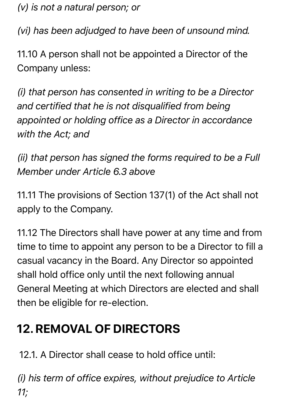*(v) is not a natural person; or*

*(vi) has been adjudged to have been of unsound mind.*

11.10 A person shall not be appointed a Director of the Company unless:

*(i) that person has consented in writing to be a Director and certified that he is not disqualified from being appointed or holding office as a Director in accordance with the Act; and*

*(ii) that person has signed the forms required to be a Full Member under Article 6.3 above*

11.11 The provisions of Section 137(1) of the Act shall not apply to the Company.

11.12 The Directors shall have power at any time and from time to time to appoint any person to be a Director to fill a casual vacancy in the Board. Any Director so appointed shall hold office only until the next following annual General Meeting at which Directors are elected and shall then be eligible for re-election.

### **12. REMOVAL OF DIRECTORS**

12.1. A Director shall cease to hold office until:

*(i) his term of office expires, without prejudice to Article 11;*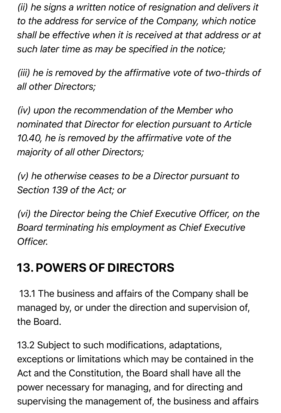*(ii) he signs a written notice of resignation and delivers it to the address for service of the Company, which notice shall be effective when it is received at that address or at such later time as may be specified in the notice;*

*(iii) he is removed by the affirmative vote of two-thirds of all other Directors;*

*(iv) upon the recommendation of the Member who nominated that Director for election pursuant to Article 10.40, he is removed by the affirmative vote of the majority of all other Directors;*

*(v) he otherwise ceases to be a Director pursuant to Section 139 of the Act; or*

*(vi) the Director being the Chief Executive Officer, on the Board terminating his employment as Chief Executive Officer.*

### **13. POWERS OF DIRECTORS**

13.1 The business and affairs of the Company shall be managed by, or under the direction and supervision of, the Board.

13.2 Subject to such modifications, adaptations, exceptions or limitations which may be contained in the Act and the Constitution, the Board shall have all the power necessary for managing, and for directing and supervising the management of, the business and affairs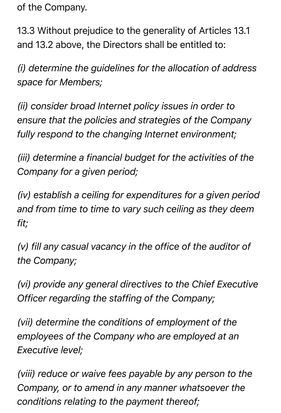of the Company.

13.3 Without prejudice to the generality of Articles 13.1 and 13.2 above, the Directors shall be entitled to:

*(i) determine the guidelines for the allocation of address space for Members;*

*(ii) consider broad Internet policy issues in order to ensure that the policies and strategies of the Company fully respond to the changing Internet environment;*

*(iii) determine a financial budget for the activities of the Company for a given period;*

*(iv) establish a ceiling for expenditures for a given period and from time to time to vary such ceiling as they deem fit;*

*(v) fill any casual vacancy in the office of the auditor of the Company;*

*(vi) provide any general directives to the Chief Executive Officer regarding the staffing of the Company;*

*(vii) determine the conditions of employment of the employees of the Company who are employed at an Executive level;*

*(viii) reduce or waive fees payable by any person to the Company, or to amend in any manner whatsoever the conditions relating to the payment thereof;*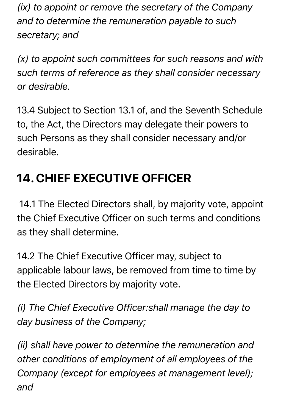*(ix) to appoint or remove the secretary of the Company and to determine the remuneration payable to such secretary; and*

*(x) to appoint such committees for such reasons and with such terms of reference as they shall consider necessary or desirable.*

13.4 Subject to Section 13.1 of, and the Seventh Schedule to, the Act, the Directors may delegate their powers to such Persons as they shall consider necessary and/or desirable.

# **14. CHIEF EXECUTIVE OFFICER**

14.1 The Elected Directors shall, by majority vote, appoint the Chief Executive Officer on such terms and conditions as they shall determine.

14.2 The Chief Executive Officer may, subject to applicable labour laws, be removed from time to time by the Elected Directors by majority vote.

*(i) The Chief Executive Officer:shall manage the day to day business of the Company;*

*(ii) shall have power to determine the remuneration and other conditions of employment of all employees of the Company (except for employees at management level); and*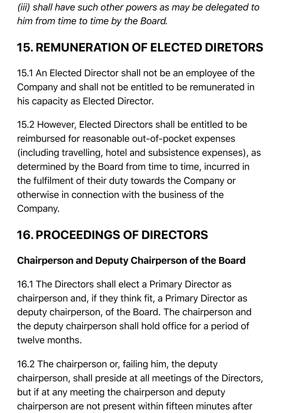*(iii) shall have such other powers as may be delegated to him from time to time by the Board.*

# **15. REMUNERATION OF ELECTED DIRETORS**

15.1 An Elected Director shall not be an employee of the Company and shall not be entitled to be remunerated in his capacity as Elected Director.

15.2 However, Elected Directors shall be entitled to be reimbursed for reasonable out-of-pocket expenses (including travelling, hotel and subsistence expenses), as determined by the Board from time to time, incurred in the fulfilment of their duty towards the Company or otherwise in connection with the business of the Company.

### **16. PROCEEDINGS OF DIRECTORS**

#### Chairperson and Deputy Chairperson of the Board

16.1 The Directors shall elect a Primary Director as chairperson and, if they think fit, a Primary Director as deputy chairperson, of the Board. The chairperson and the deputy chairperson shall hold office for a period of twelve months.

16.2 The chairperson or, failing him, the deputy chairperson, shall preside at all meetings of the Directors, but if at any meeting the chairperson and deputy chairperson are not present within fifteen minutes after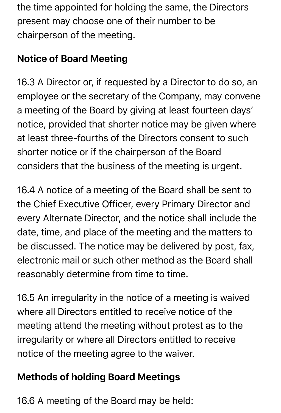the time appointed for holding the same, the Directors present may choose one of their number to be chairperson of the meeting.

#### Notice of Board Meeting

16.3 A Director or, if requested by a Director to do so, an employee or the secretary of the Company, may convene a meeting of the Board by giving at least fourteen days' notice, provided that shorter notice may be given where at least three-fourths of the Directors consent to such shorter notice or if the chairperson of the Board considers that the business of the meeting is urgent.

16.4 A notice of a meeting of the Board shall be sent to the Chief Executive Officer, every Primary Director and every Alternate Director, and the notice shall include the date, time, and place of the meeting and the matters to be discussed. The notice may be delivered by post, fax, electronic mail or such other method as the Board shall reasonably determine from time to time.

16.5 An irregularity in the notice of a meeting is waived where all Directors entitled to receive notice of the meeting attend the meeting without protest as to the irregularity or where all Directors entitled to receive notice of the meeting agree to the waiver.

#### Methods of holding Board Meetings

16.6 A meeting of the Board may be held: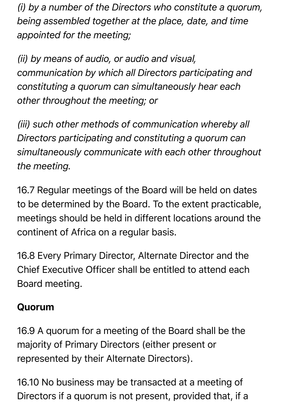*(i) by a number of the Directors who constitute a quorum, being assembled together at the place, date, and time appointed for the meeting;*

*(ii) by means of audio, or audio and visual, communication by which all Directors participating and constituting a quorum can simultaneously hear each other throughout the meeting; or*

*(iii) such other methods of communication whereby all Directors participating and constituting a quorum can simultaneously communicate with each other throughout the meeting.*

16.7 Regular meetings of the Board will be held on dates to be determined by the Board. To the extent practicable, meetings should be held in different locations around the continent of Africa on a regular basis.

16.8 Every Primary Director, Alternate Director and the Chief Executive Officer shall be entitled to attend each Board meeting.

#### Quorum

16.9 A quorum for a meeting of the Board shall be the majority of Primary Directors (either present or represented by their Alternate Directors).

16.10 No business may be transacted at a meeting of Directors if a quorum is not present, provided that, if a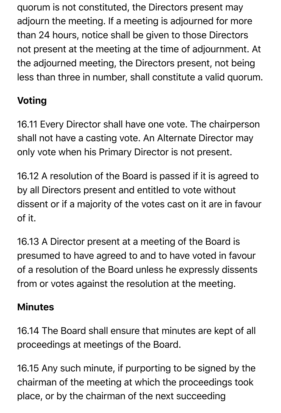quorum is not constituted, the Directors present may adjourn the meeting. If a meeting is adjourned for more than 24 hours, notice shall be given to those Directors not present at the meeting at the time of adjournment. At the adjourned meeting, the Directors present, not being less than three in number, shall constitute a valid quorum.

### Voting

16.11 Every Director shall have one vote. The chairperson shall not have a casting vote. An Alternate Director may only vote when his Primary Director is not present.

16.12 A resolution of the Board is passed if it is agreed to by all Directors present and entitled to vote without dissent or if a majority of the votes cast on it are in favour of it.

16.13 A Director present at a meeting of the Board is presumed to have agreed to and to have voted in favour of a resolution of the Board unless he expressly dissents from or votes against the resolution at the meeting.

#### Minutes

16.14 The Board shall ensure that minutes are kept of all proceedings at meetings of the Board.

16.15 Any such minute, if purporting to be signed by the chairman of the meeting at which the proceedings took place, or by the chairman of the next succeeding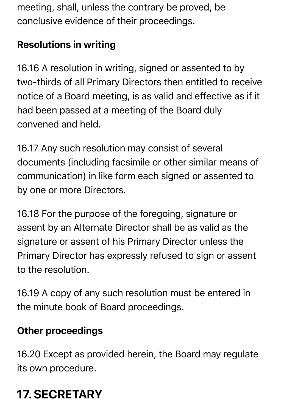meeting, shall, unless the contrary be proved, be conclusive evidence of their proceedings.

#### Resolutions in writing

16.16 A resolution in writing, signed or assented to by two-thirds of all Primary Directors then entitled to receive notice of a Board meeting, is as valid and effective as if it had been passed at a meeting of the Board duly convened and held.

16.17 Any such resolution may consist of several documents (including facsimile or other similar means of communication) in like form each signed or assented to by one or more Directors.

16.18 For the purpose of the foregoing, signature or assent by an Alternate Director shall be as valid as the signature or assent of his Primary Director unless the Primary Director has expressly refused to sign or assent to the resolution.

16.19 A copy of any such resolution must be entered in the minute book of Board proceedings.

#### Other proceedings

16.20 Except as provided herein, the Board may regulate its own procedure.

# **17. SECRETARY**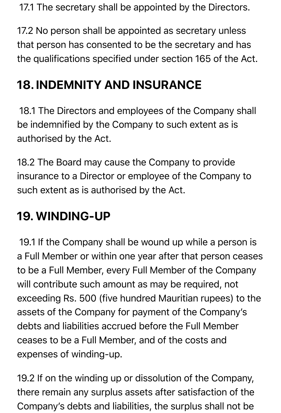17.1 The secretary shall be appointed by the Directors.

17.2 No person shall be appointed as secretary unless that person has consented to be the secretary and has the qualifications specified under section 165 of the Act.

### **18. INDEMNITY AND INSURANCE**

18.1 The Directors and employees of the Company shall be indemnified by the Company to such extent as is authorised by the Act.

18.2 The Board may cause the Company to provide insurance to a Director or employee of the Company to such extent as is authorised by the Act.

### **19. WINDING-UP**

19.1 If the Company shall be wound up while a person is a Full Member or within one year after that person ceases to be a Full Member, every Full Member of the Company will contribute such amount as may be required, not exceeding Rs. 500 (five hundred Mauritian rupees) to the assets of the Company for payment of the Company's debts and liabilities accrued before the Full Member ceases to be a Full Member, and of the costs and expenses of winding-up.

19.2 If on the winding up or dissolution of the Company, there remain any surplus assets after satisfaction of the Company's debts and liabilities, the surplus shall not be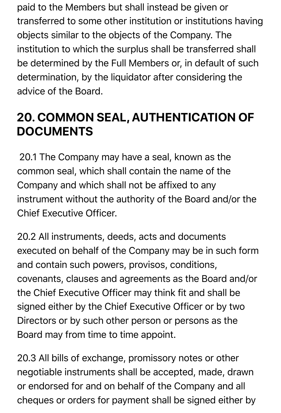paid to the Members but shall instead be given or transferred to some other institution or institutions having objects similar to the objects of the Company. The institution to which the surplus shall be transferred shall be determined by the Full Members or, in default of such determination, by the liquidator after considering the advice of the Board.

### **20. COMMON SEAL, AUTHENTICATION OF DOCUMENTS**

20.1 The Company may have a seal, known as the common seal, which shall contain the name of the Company and which shall not be affixed to any instrument without the authority of the Board and/or the Chief Executive Officer.

20.2 All instruments, deeds, acts and documents executed on behalf of the Company may be in such form and contain such powers, provisos, conditions, covenants, clauses and agreements as the Board and/or the Chief Executive Officer may think fit and shall be signed either by the Chief Executive Officer or by two Directors or by such other person or persons as the Board may from time to time appoint.

20.3 All bills of exchange, promissory notes or other negotiable instruments shall be accepted, made, drawn or endorsed for and on behalf of the Company and all cheques or orders for payment shall be signed either by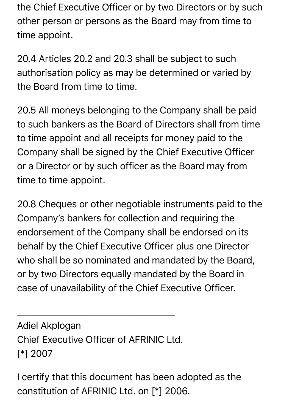the Chief Executive Officer or by two Directors or by such other person or persons as the Board may from time to time appoint.

20.4 Articles 20.2 and 20.3 shall be subject to such authorisation policy as may be determined or varied by the Board from time to time.

20.5 All moneys belonging to the Company shall be paid to such bankers as the Board of Directors shall from time to time appoint and all receipts for money paid to the Company shall be signed by the Chief Executive Officer or a Director or by such officer as the Board may from time to time appoint.

20.8 Cheques or other negotiable instruments paid to the Company's bankers for collection and requiring the endorsement of the Company shall be endorsed on its behalf by the Chief Executive Officer plus one Director who shall be so nominated and mandated by the Board, or by two Directors equally mandated by the Board in case of unavailability of the Chief Executive Officer.

Adiel Akplogan Chief Executive Officer of AFRINIC Ltd. [\*] 2007

 $\overline{\phantom{a}}$  , and the contract of the contract of the contract of the contract of the contract of the contract of the contract of the contract of the contract of the contract of the contract of the contract of the contrac

I certify that this document has been adopted as the constitution of AFRINIC Ltd. on [\*] 2006.